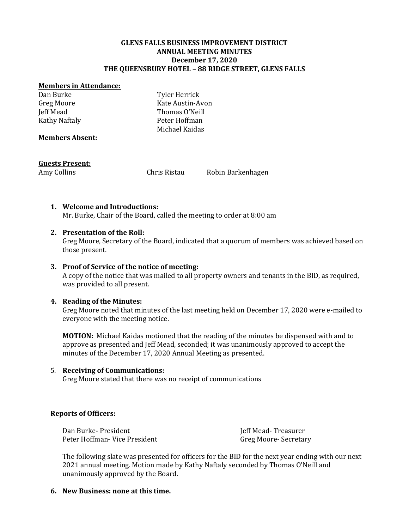#### **GLENS FALLS BUSINESS IMPROVEMENT DISTRICT ANNUAL MEETING MINUTES December 17, 2020 THE QUEENSBURY HOTEL – 88 RIDGE STREET, GLENS FALLS**

#### **Members in Attendance:**

Dan Burke Greg Moore Jeff Mead Kathy Naftaly Tyler Herrick Kate Austin-Avon Thomas O'Neill Peter Hoffman Michael Kaidas

#### **Members Absent:**

#### **Guests Present:**

Amy Collins **Chris Ristau** Robin Barkenhagen

## **1. Welcome and Introductions:**

Mr. Burke, Chair of the Board, called the meeting to order at 8:00 am

## **2. Presentation of the Roll:**

Greg Moore, Secretary of the Board, indicated that a quorum of members was achieved based on those present.

## **3. Proof of Service of the notice of meeting:**

A copy of the notice that was mailed to all property owners and tenants in the BID, as required, was provided to all present.

#### **4. Reading of the Minutes:**

Greg Moore noted that minutes of the last meeting held on December 17, 2020 were e-mailed to everyone with the meeting notice.

**MOTION:** Michael Kaidas motioned that the reading of the minutes be dispensed with and to approve as presented and Jeff Mead, seconded; it was unanimously approved to accept the minutes of the December 17, 2020 Annual Meeting as presented.

#### 5. **Receiving of Communications:**

Greg Moore stated that there was no receipt of communications

## **Reports of Officers:**

Dan Burke- President Peter Hoffman- Vice President Jeff Mead- Treasurer Greg Moore- Secretary

The following slate was presented for officers for the BID for the next year ending with our next 2021 annual meeting. Motion made by Kathy Naftaly seconded by Thomas O'Neill and unanimously approved by the Board.

#### **6. New Business: none at this time.**